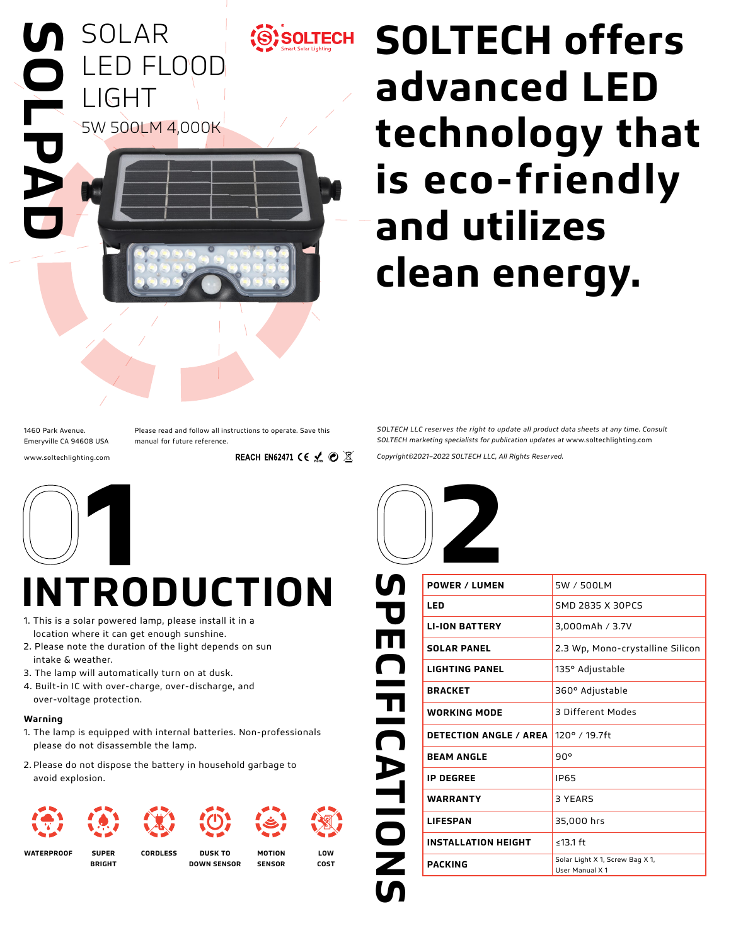

# **SOLTECH offers advanced LED technology that is eco-friendly and utilizes clean energy.**

1460 Park Avenue. Emeryville CA 94608 USA www.soltechlighting.com Please read and follow all instructions to operate. Save this manual for future reference.

REACH EN62471 CE  $\mathcal{L} \odot \mathbb{X}$ 



## **INTRODUCTION**

- 1. This is a solar powered lamp, please install it in a location where it can get enough sunshine.
- 2. Please note the duration of the light depends on sun intake & weather.
- 3. The lamp will automatically turn on at dusk.
- 4. Built-in IC with over-charge, over-discharge, and over-voltage protection.

#### **Warning**

- 1. The lamp is equipped with internal batteries. Non-professionals please do not disassemble the lamp.
- 2. Please do not dispose the battery in household garbage to avoid explosion.



**WATERPROOF SUPER** 

**BRIGHT**

**CORDLESS DUSK TO DOWN SENSOR**



**LOW COST**



*Copyright©2021–2022 SOLTECH LLC, All Rights Reserved.*

*SOLTECH LLC reserves the right to update all product data sheets at any time. Consult SOLTECH marketing specialists for publication updates at* www.soltechlighting.com

| <u> ဟ</u>                       | <b>POWER / LUMEN</b>          | 5W / 500LM                                         |
|---------------------------------|-------------------------------|----------------------------------------------------|
|                                 | LED                           | SMD 2835 X 30PCS                                   |
| P<br>E                          | <b>LI-ION BATTERY</b>         | 3,000mAh / 3.7V                                    |
|                                 | <b>SOLAR PANEL</b>            | 2.3 Wp, Mono-crystalline Silicon                   |
| M                               | <b>LIGHTING PANEL</b>         | 135° Adjustable                                    |
|                                 | <b>BRACKET</b>                | 360° Adjustable                                    |
| $\frac{\mathbf{n}}{\mathbf{0}}$ | <b>WORKING MODE</b>           | 3 Different Modes                                  |
|                                 | <b>DETECTION ANGLE / AREA</b> | 120° / 19.7ft                                      |
|                                 | <b>BEAM ANGLE</b>             | 90°                                                |
| ATIOI                           | <b>IP DEGREE</b>              | <b>IP65</b>                                        |
|                                 | <b>WARRANTY</b>               | 3 YEARS                                            |
|                                 | <b>LIFESPAN</b>               | 35,000 hrs                                         |
|                                 | <b>INSTALLATION HEIGHT</b>    | ≤13.1 $ft$                                         |
| Z                               | <b>PACKING</b>                | Solar Light X 1, Screw Bag X 1,<br>User Manual X 1 |
|                                 |                               |                                                    |